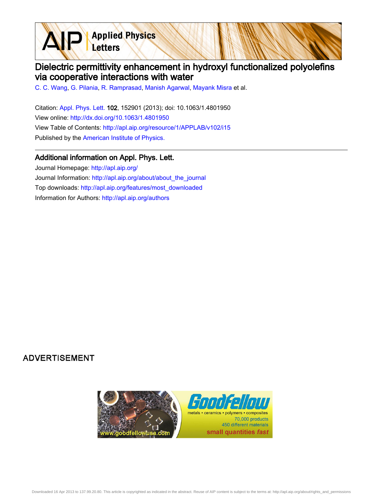**Applied Physics** Letters

## Dielectric permittivity enhancement in hydroxyl functionalized polyolefins via cooperative interactions with water

[C. C. Wang,](http://apl.aip.org/search?sortby=newestdate&q=&searchzone=2&searchtype=searchin&faceted=faceted&key=AIP_ALL&possible1=C. C. Wang&possible1zone=author&alias=&displayid=AIP&ver=pdfcov) [G. Pilania](http://apl.aip.org/search?sortby=newestdate&q=&searchzone=2&searchtype=searchin&faceted=faceted&key=AIP_ALL&possible1=G. Pilania&possible1zone=author&alias=&displayid=AIP&ver=pdfcov), [R. Ramprasad](http://apl.aip.org/search?sortby=newestdate&q=&searchzone=2&searchtype=searchin&faceted=faceted&key=AIP_ALL&possible1=R. Ramprasad&possible1zone=author&alias=&displayid=AIP&ver=pdfcov), [Manish Agarwal](http://apl.aip.org/search?sortby=newestdate&q=&searchzone=2&searchtype=searchin&faceted=faceted&key=AIP_ALL&possible1=Manish Agarwal&possible1zone=author&alias=&displayid=AIP&ver=pdfcov), [Mayank Misra](http://apl.aip.org/search?sortby=newestdate&q=&searchzone=2&searchtype=searchin&faceted=faceted&key=AIP_ALL&possible1=Mayank Misra&possible1zone=author&alias=&displayid=AIP&ver=pdfcov) et al.

Citation: [Appl. Phys. Lett. 1](http://apl.aip.org/?ver=pdfcov)02, 152901 (2013); doi: 10.1063/1.4801950 View online: [http://dx.doi.org/10.1063/1.4801950](http://link.aip.org/link/doi/10.1063/1.4801950?ver=pdfcov) View Table of Contents: [http://apl.aip.org/resource/1/APPLAB/v102/i15](http://apl.aip.org/resource/1/APPLAB/v102/i15?ver=pdfcov) Published by the [American Institute of Physics.](http://www.aip.org/?ver=pdfcov)

## Additional information on Appl. Phys. Lett.

Journal Homepage: [http://apl.aip.org/](http://apl.aip.org/?ver=pdfcov) Journal Information: [http://apl.aip.org/about/about\\_the\\_journal](http://apl.aip.org/about/about_the_journal?ver=pdfcov) Top downloads: [http://apl.aip.org/features/most\\_downloaded](http://apl.aip.org/features/most_downloaded?ver=pdfcov) Information for Authors: [http://apl.aip.org/authors](http://apl.aip.org/authors?ver=pdfcov)

## **ADVERTISEMENT**

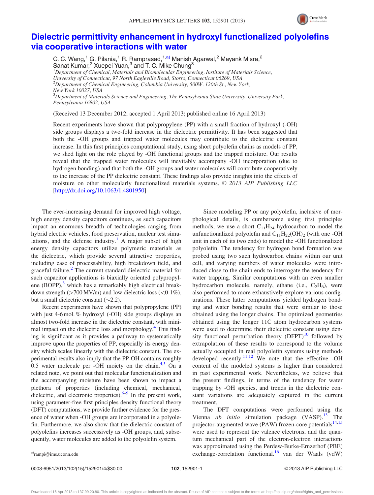

## [Dielectric permittivity enhancement in hydroxyl functionalized polyolefins](http://dx.doi.org/10.1063/1.4801950) [via cooperative interactions with water](http://dx.doi.org/10.1063/1.4801950)

C. C. Wang,<sup>1</sup> G. Pilania,<sup>1</sup> R. Ramprasad,<sup>1,a)</sup> Manish Agarwal,<sup>2</sup> Mayank Misra,<sup>2</sup> Sanat Kumar,<sup>2</sup> Xuepei Yuan,<sup>3</sup> and T. C. Mike Chung<sup>3</sup>

<sup>1</sup>Department of Chemical, Materials and Biomolecular Engineering, Institute of Materials Science, University of Connecticut, 97 North Eagleville Road, Storrs, Connecticut 06269, USA 2 Department of Chemical Engineering, Columbia University, 500W. 120th St., New York, New York 10027, USA  $^3$ Department of Materials Science and Engineering, The Pennsylvania State University, University Park,

Pennsylvania 16802, USA

(Received 13 December 2012; accepted 1 April 2013; published online 16 April 2013)

Recent experiments have shown that polypropylene (PP) with a small fraction of hydroxyl (-OH) side groups displays a two-fold increase in the dielectric permittivity. It has been suggested that both the -OH groups and trapped water molecules may contribute to the dielectric constant increase. In this first principles computational study, using short polyolefin chains as models of PP, we shed light on the role played by -OH functional groups and the trapped moisture. Our results reveal that the trapped water molecules will inevitably accompany -OH incorporation (due to hydrogen bonding) and that both the -OH groups and water molecules will contribute cooperatively to the increase of the PP dielectric constant. These findings also provide insights into the effects of moisture on other molecularly functionalized materials systems.  $\odot$  2013 AIP Publishing LLC [\[http://dx.doi.org/10.1063/1.4801950](http://dx.doi.org/10.1063/1.4801950)]

The ever-increasing demand for improved high voltage, high energy density capacitors continues, as such capacitors impact an enormous breadth of technologies ranging from hybrid electric vehicles, food preservation, nuclear test simu-lations, and the defense industry.<sup>[1](#page-4-0)</sup> A major subset of high energy density capacitors utilize polymeric materials as the dielectric, which provide several attractive properties, including ease of processability, high breakdown field, and graceful failure.<sup>[2](#page-4-0)</sup> The current standard dielectric material for such capacitor applications is biaxially oriented polypropylene  $(BOPP)$ ,<sup>[3](#page-4-0)</sup> which has a remarkably high electrical breakdown strength  $(>700 \text{ MV/m})$  and low dielectric loss  $(<0.1\%)$ , but a small dielectric constant  $(\sim 2.2)$ .

Recent experiments have shown that polypropylene (PP) with just 4-6 mol. % hydroxyl (-OH) side groups displays an almost two-fold increase in the dielectric constant, with minimal impact on the dielectric loss and morphology.<sup>4</sup> This finding is significant as it provides a pathway to systematically improve upon the properties of PP, especially its energy density which scales linearly with the dielectric constant. The experimental results also imply that the PP-OH contains roughly 0.5 water molecule per -OH moiety on the chain. $4,5$  On a related note, we point out that molecular functionalization and the accompanying moisture have been shown to impact a plethora of properties (including chemical, mechanical, dielectric, and electronic properties). $6-9$  $6-9$  In the present work, using parameter-free first principles density functional theory (DFT) computations, we provide further evidence for the presence of water when -OH groups are incorporated in a polyolefin. Furthermore, we also show that the dielectric constant of polyolefins increases successively as -OH groups, and, subsequently, water molecules are added to the polyolefin system.

Since modeling PP or any polyolefin, inclusive of morphological details, is cumbersome using first principles methods, we use a short  $C_{11}H_{24}$  hydrocarbon to model the unfunctionalized polyolefin and  $C_{11}H_{22}(OH)_{2}$  (with one -OH unit in each of its two ends) to model the -OH functionalized polyolefin. The tendency for hydrogen bond formation was probed using two such hydrocarbon chains within our unit cell, and varying numbers of water molecules were introduced close to the chain ends to interrogate the tendency for water trapping. Similar computations with an even smaller hydrocarbon molecule, namely, ethane (i.e.,  $C_2H_6$ ), were also performed to more exhaustively explore various configurations. These latter computations yielded hydrogen bonding and water bonding results that were similar to those obtained using the longer chains. The optimized geometries obtained using the longer 11C atom hydrocarbon systems were used to determine their dielectric constant using density functional perturbation theory  $(DFPT)^{10}$  $(DFPT)^{10}$  $(DFPT)^{10}$  followed by extrapolation of these results to correspond to the volume actually occupied in real polyolefin systems using methods developed recently.<sup>[11,12](#page-4-0)</sup> We note that the effective -OH content of the modeled systems is higher than considered in past experimental work. Nevertheless, we believe that the present findings, in terms of the tendency for water trapping by -OH species, and trends in the dielectric constant variations are adequately captured in the current treatment.

The DFT computations were performed using the Vienna *ab initio* simulation package  $(VASP)$ .<sup>13</sup> The projector-augmented wave (PAW) frozen-core potentials<sup>14,15</sup> were used to represent the valence electrons, and the quantum mechanical part of the electron-electron interactions was approximated using the Perdew-Burke-Ernzerhof (PBE) a)[rampi@ims.uconn.edu](mailto:rampi@ims.uconn.edu) a)rampi@ims.uconn.edu exchange-correlation functional.<sup>16</sup> van der Waals (vdW)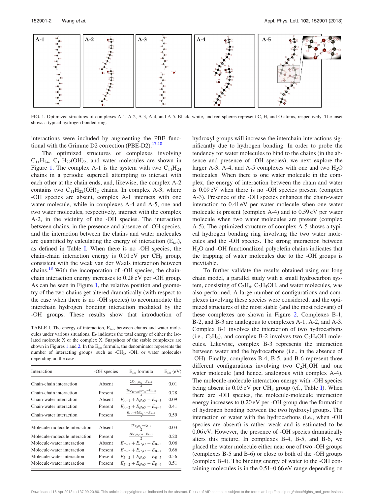<span id="page-2-0"></span>

FIG. 1. Optimized structures of complexes A-1, A-2, A-3, A-4, and A-5. Black, white, and red spheres represent C, H, and O atoms, respectively. The inset shows a typical hydrogen bonded ring.

interactions were included by augmenting the PBE functional with the Grimme D2 correction (PBE-D2). $17,18$ 

The optimized structures of complexes involving  $C_{11}H_{24}$ ,  $C_{11}H_{22}(OH)$ <sub>2</sub>, and water molecules are shown in Figure 1. The complex A-1 is the system with two  $C_{11}H_{24}$ chains in a periodic supercell attempting to interact with each other at the chain ends, and, likewise, the complex A-2 contains two  $C_{11}H_{22}(OH)_{2}$  chains. In complex A-3, where -OH species are absent, complex A-1 interacts with one water molecule, while in complexes A-4 and A-5, one and two water molecules, respectively, interact with the complex A-2, in the vicinity of the -OH species. The interaction between chains, in the presence and absence of -OH species, and the interaction between the chains and water molecules are quantified by calculating the energy of interaction  $(E_{int})$ , as defined in Table I. When there is no -OH species, the chain-chain interaction energy is  $0.01 \text{ eV}$  per CH<sub>3</sub> group, consistent with the weak van der Waals interaction between chains.<sup>[18](#page-4-0)</sup> With the incorporation of -OH species, the chainchain interaction energy increases to 0.28 eV per -OH group. As can be seen in Figure 1, the relative position and geometry of the two chains get altered dramatically (with respect to the case when there is no -OH species) to accommodate the interchain hydrogen bonding interaction mediated by the -OH groups. These results show that introduction of

TABLE I. The energy of interaction,  $E_{int}$ , between chains and water molecules under various situations.  $E_X$  indicates the total energy of either the isolated molecule X or the complex X. Snapshots of the stable complexes are shown in Figures 1 and [2](#page-3-0). In the  $E_{int}$  formula, the denominator represents the number of interacting groups, such as  $-CH_3$ ,  $-OH$ , or water molecules depending on the case.

| Interaction                   | -OH species | $E_{int}$ formula                           | $E_{int}$ (eV) |
|-------------------------------|-------------|---------------------------------------------|----------------|
| Chain-chain interaction       | Absent      | $\frac{2E_{C_{11}H_{24}}-E_{A-1}}{4}$       | 0.01           |
| Chain-chain interaction       | Present     | $\frac{2E_{C_{11}H_{22}(OH)_2}-E_{A-2}}{4}$ | 0.28           |
| Chain-water interaction       | Absent      | $E_{A-1} + E_{H_2O} - E_{A-3}$              | 0.09           |
| Chain-water interaction       | Present     | $E_{A-2} + E_{H_2O} - E_{A-4}$              | 0.41           |
| Chain-water interaction       | Present     | $rac{E_{A-2}+2E_{H_2O}-E_{A-5}}{2}$         | 0.59           |
| Molecule-molecule interaction | Absent      | $\frac{2E_{C_2H_6}-E_{B-1}}{2}$             | 0.03           |
| Molecule-molecule interaction | Present     | $\frac{2E_{C_2H_5OH}-E_{B-2}}{2}$           | 0.20           |
| Molecule-water interaction    | Absent      | $E_{B-1} + E_{H_2O} - E_{B-3}$              | 0.06           |
| Molecule-water interaction    | Present     | $E_{B-2} + E_{H_2O} - E_{B-4}$              | 0.66           |
| Molecule-water interaction    | Present     | $E_{B-2} + E_{H_2O} - E_{B-5}$              | 0.56           |
| Molecule-water interaction    | Present     | $E_{B-2} + E_{H_2O} - E_{B-6}$              | 0.51           |
|                               |             |                                             |                |

hydroxyl groups will increase the interchain interactions significantly due to hydrogen bonding. In order to probe the tendency for water molecules to bind to the chains (in the absence and presence of -OH species), we next explore the larger A-3, A-4, and A-5 complexes with one and two  $H_2O$ molecules. When there is one water molecule in the complex, the energy of interaction between the chain and water is 0.09 eV when there is no -OH species present (complex A-3). Presence of the -OH species enhances the chain-water interaction to 0.41 eV per water molecule when one water molecule is present (complex A-4) and to 0.59 eV per water molecule when two water molecules are present (complex A-5). The optimized structure of complex A-5 shows a typical hydrogen bonding ring involving the two water molecules and the -OH species. The strong interaction between H2O and -OH functionalized polyolefin chains indicates that the trapping of water molecules due to the -OH groups is inevitable.

To further validate the results obtained using our long chain model, a parallel study with a small hydrocarbon system, consisting of  $C_2H_6$ ,  $C_2H_5OH$ , and water molecules, was also performed. A large number of configurations and complexes involving these species were considered, and the optimized structures of the most stable (and the most relevant) of these complexes are shown in Figure [2.](#page-3-0) Complexes B-1, B-2, and B-3 are analogous to complexes A-1, A-2, and A-3. Complex B-1 involves the interaction of two hydrocarbons (i.e.,  $C_2H_6$ ), and complex B-2 involves two  $C_2H_5OH$  molecules. Likewise, complex B-3 represents the interaction between water and the hydrocarbons (i.e., in the absence of -OH). Finally, complexes B-4, B-5, and B-6 represent three different configurations involving two  $C_2H_5OH$  and one water molecule (and hence, analogous with complex A-4). The molecule-molecule interaction energy with -OH species being absent is  $0.03$  eV per CH<sub>3</sub> group (cf., Table I). When there are -OH species, the molecule-molecule interaction energy increases to 0.20 eV per -OH group due the formation of hydrogen bonding between the two hydroxyl groups. The interaction of water with the hydrocarbons (i.e., when -OH species are absent) is rather weak and is estimated to be 0.06 eV. However, the presence of -OH species dramatically alters this picture. In complexes B-4, B-5, and B-6, we placed the water molecule either near one of two -OH groups (complexes B-5 and B-6) or close to both of the -OH groups (complex B-4). The binding energy of water to the -OH containing molecules is in the 0.51–0.66 eV range depending on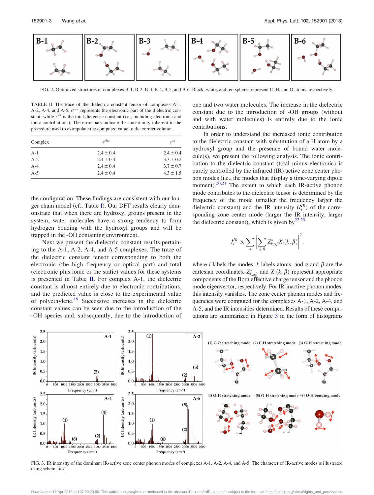<span id="page-3-0"></span>

FIG. 2. Optimized structures of complexes B-1, B-2, B-3, B-4, B-5, and B-6. Black, white, and red spheres represent C, H, and O atoms, respectively.

TABLE II. The trace of the dielectric constant tensor of complexes A-1, A-2, A-4, and A-5.  $\epsilon^{elec}$  represents the electronic part of the dielectric constant, while  $\epsilon^{tot}$  is the total dielectric constant (i.e., including electronic and ionic contributions). The error bars indicate the uncertainty inherent in the procedure used to extrapolate the computed value to the correct volume.

| Complex | $\epsilon^{elec}$ | $\epsilon^{tot}$ |
|---------|-------------------|------------------|
| $A-1$   | $2.4 \pm 0.4$     | $2.4 \pm 0.4$    |
| $A-2$   | $2.4 \pm 0.4$     | $3.3 \pm 0.2$    |
| $A-4$   | $2.4 \pm 0.4$     | $3.7 \pm 0.7$    |
| $A-5$   | $2.4 \pm 0.4$     | $4.3 \pm 1.5$    |

the configuration. These findings are consistent with our longer chain model (cf., Table [I\)](#page-2-0). Our DFT results clearly demonstrate that when there are hydroxyl groups present in the system, water molecules have a strong tendency to form hydrogen bonding with the hydroxyl groups and will be trapped in the -OH containing environment.

Next we present the dielectric constant results pertaining to the A-1, A-2, A-4, and A-5 complexes. The trace of the dielectric constant tensor corresponding to both the electronic (the high frequency or optical part) and total (electronic plus ionic or the static) values for these systems is presented in Table II. For complex  $A-1$ , the dielectric constant is almost entirely due to electronic contributions, and the predicted value is close to the experimental value of polyethylene.<sup>[19](#page-4-0)</sup> Successive increases in the dielectric constant values can be seen due to the introduction of the -OH species and, subsequently, due to the introduction of one and two water molecules. The increase in the dielectric constant due to the introduction of -OH groups (without and with water molecules) is entirely due to the ionic contributions.

In order to understand the increased ionic contribution to the dielectric constant with substitution of a H atom by a hydroxyl group and the presence of bound water molecule(s), we present the following analysis. The ionic contribution to the dielectric constant (total minus electronic) is purely controlled by the infrared (IR) active zone center phonon modes (i.e., the modes that display a time-varying dipole moment). $20,21$  The extent to which each IR-active phonon mode contributes to the dielectric tensor is determined by the frequency of the mode (smaller the frequency larger the dielectric constant) and the IR intensity  $(I_i^{IR})$  of the corresponding zone center mode (larger the IR intensity, larger the dielectric constant), which is given by $^{22,23}$  $^{22,23}$  $^{22,23}$ 

$$
I_i^{IR} \propto \sum_{\alpha} \bigg| \sum_{k,\beta} Z_{k,\alpha\beta}^* X_i(k,\beta) \bigg|^2,
$$

where *i* labels the modes, *k* labels atoms, and  $\alpha$  and  $\beta$  are the cartesian coordinates.  $Z_{k,\alpha\beta}^*$  and  $X_i(k,\beta)$  represent appropriate components of the Born effective charge tensor and the phonon mode eigenvector, respectively. For IR-inactive phonon modes, this intensity vanishes. The zone center phonon modes and frequencies were computed for the complexes A-1, A-2, A-4, and A-5, and the IR intensities determined. Results of these computations are summarized in Figure 3 in the form of histograms



FIG. 3. IR intensity of the dominant IR-active zone center phonon modes of complexes A-1, A-2, A-4, and A-5. The character of IR-active modes is illustrated using schematics.